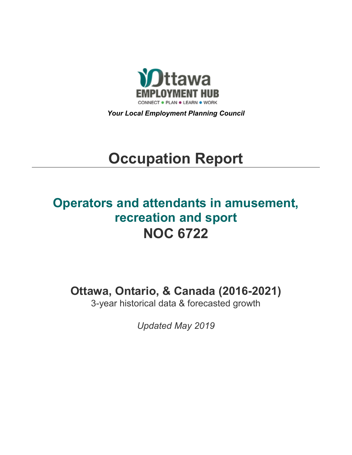

*Your Local Employment Planning Council*

# **Occupation Report**

## **Operators and attendants in amusement, recreation and sport NOC 6722**

**Ottawa, Ontario, & Canada (2016-2021)**

3-year historical data & forecasted growth

*Updated May 2019*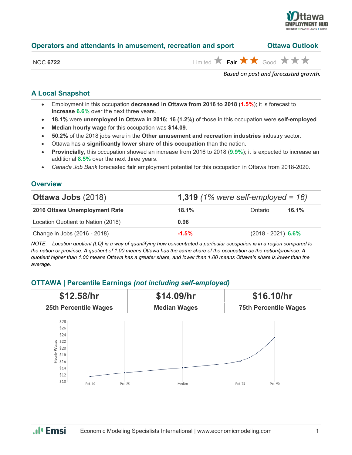

| Operators and attendants in amusement, recreation and sport |  | <b>Ottawa Outlook</b> |
|-------------------------------------------------------------|--|-----------------------|
|-------------------------------------------------------------|--|-----------------------|

|  | <b>NOC 6722</b> |
|--|-----------------|
|  |                 |

 $\lim_{x\to 0}$  **Fair**  $\star\star\star$  Good  $\star\star\star$ 

*Based on past and forecasted growth.*

#### **A Local Snapshot**

- Employment in this occupation **decreased in Ottawa from 2016 to 2018** (**1.5%**); it is forecast to **increase 6.6%** over the next three years.
- **18.1%** were **unemployed in Ottawa in 2016; 16 (1.2%)** of those in this occupation were **self-employed**.
- **Median hourly wage** for this occupation was **\$14.09**.
- **50.2%** of the 2018 jobs were in the **Other amusement and recreation industries** industry sector.
- Ottawa has a **significantly lower share of this occupation** than the nation.
- **Provincially**, this occupation showed an increase from 2016 to 2018 (**9.9%**); it is expected to increase an additional **8.5%** over the next three years.
- *Canada Job Bank* forecasted **fair** employment potential for this occupation in Ottawa from 2018-2020.

#### **Overview**

| 1,319 $(1\%$ were self-employed = 16)<br><b>Ottawa Jobs (2018)</b> |         |                      |       |
|--------------------------------------------------------------------|---------|----------------------|-------|
| 2016 Ottawa Unemployment Rate                                      | 18.1%   | Ontario              | 16.1% |
| Location Quotient to Nation (2018)                                 | 0.96    |                      |       |
| Change in Jobs (2016 - 2018)                                       | $-1.5%$ | $(2018 - 2021)$ 6.6% |       |

*NOTE: Location quotient (LQ) is a way of quantifying how concentrated a particular occupation is in a region compared to the nation or province. A quotient of 1.00 means Ottawa has the same share of the occupation as the nation/province. A quotient higher than 1.00 means Ottawa has a greater share, and lower than 1.00 means Ottawa's share is lower than the average.*

#### **OTTAWA | Percentile Earnings** *(not including self-employed)*



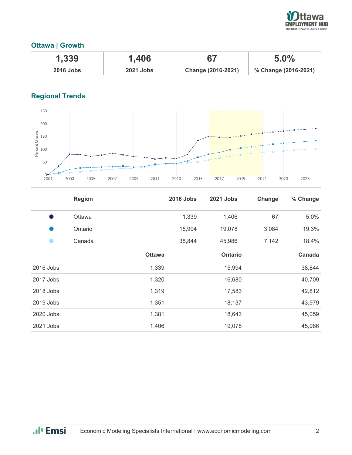

#### **Ottawa | Growth**

| 1,339            | 1,406            |                    | 5.0%                 |
|------------------|------------------|--------------------|----------------------|
| <b>2016 Jobs</b> | <b>2021 Jobs</b> | Change (2016-2021) | % Change (2016-2021) |

### **Regional Trends**



|           | <b>Region</b> |               | <b>2016 Jobs</b> | 2021 Jobs      | Change | % Change |
|-----------|---------------|---------------|------------------|----------------|--------|----------|
| o a       | Ottawa        |               | 1,339            | 1,406          | 67     | 5.0%     |
|           | Ontario       |               | 15,994           | 19,078         | 3,084  | 19.3%    |
|           | Canada        |               | 38,844           | 45,986         | 7,142  | 18.4%    |
|           |               | <b>Ottawa</b> |                  | <b>Ontario</b> |        | Canada   |
| 2016 Jobs |               | 1,339         |                  | 15,994         |        | 38,844   |
| 2017 Jobs |               | 1,320         |                  | 16,680         |        | 40,709   |
| 2018 Jobs |               | 1,319         |                  | 17,583         |        | 42,812   |
| 2019 Jobs |               | 1,351         |                  | 18,137         |        | 43,979   |
| 2020 Jobs |               | 1,381         |                  | 18,643         |        | 45,059   |
| 2021 Jobs |               | 1,406         |                  | 19,078         |        | 45,986   |

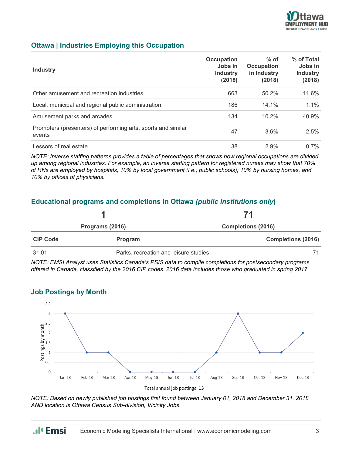

#### **Ottawa | Industries Employing this Occupation**

| <b>Industry</b>                                                         | Occupation<br>Jobs in<br><b>Industry</b><br>(2018) | $%$ of<br><b>Occupation</b><br>in Industry<br>(2018) | % of Total<br>Jobs in<br><b>Industry</b><br>(2018) |
|-------------------------------------------------------------------------|----------------------------------------------------|------------------------------------------------------|----------------------------------------------------|
| Other amusement and recreation industries                               | 663                                                | 50.2%                                                | 11.6%                                              |
| Local, municipal and regional public administration                     | 186                                                | $14.1\%$                                             | $1.1\%$                                            |
| Amusement parks and arcades                                             | 134                                                | 10.2%                                                | 40.9%                                              |
| Promoters (presenters) of performing arts, sports and similar<br>events | 47                                                 | 3.6%                                                 | $2.5\%$                                            |
| Lessors of real estate                                                  | 38                                                 | $2.9\%$                                              | $0.7\%$                                            |

*NOTE: Inverse staffing patterns provides a table of percentages that shows how regional occupations are divided up among regional industries. For example, an inverse staffing pattern for registered nurses may show that 70% of RNs are employed by hospitals, 10% by local government (i.e., public schools), 10% by nursing homes, and 10% by offices of physicians.*

#### **Educational programs and completions in Ottawa** *(public institutions only***)**

|                 |                | 71                                    |  |
|-----------------|----------------|---------------------------------------|--|
| Programs (2016) |                | <b>Completions (2016)</b>             |  |
| <b>CIP Code</b> | <b>Program</b> | <b>Completions (2016)</b>             |  |
| 31.01           |                | Parks, recreation and leisure studies |  |

*NOTE: EMSI Analyst uses Statistics Canada's PSIS data to compile completions for postsecondary programs offered in Canada, classified by the 2016 CIP codes. 2016 data includes those who graduated in spring 2017.*

#### **Job Postings by Month**



Total annual job postings: 13

*NOTE: Based on newly published job postings first found between January 01, 2018 and December 31, 2018 AND location is Ottawa Census Sub-division, Vicinity Jobs.*